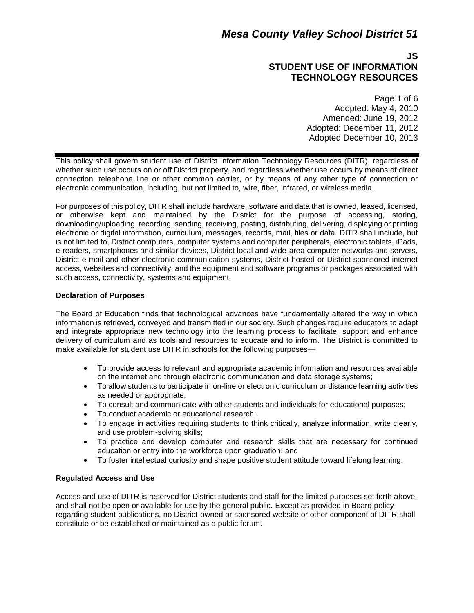## **JS STUDENT USE OF INFORMATION TECHNOLOGY RESOURCES**

Page 1 of 6 Adopted: May 4, 2010 Amended: June 19, 2012 Adopted: December 11, 2012 Adopted December 10, 2013

This policy shall govern student use of District Information Technology Resources (DITR), regardless of whether such use occurs on or off District property, and regardless whether use occurs by means of direct connection, telephone line or other common carrier, or by means of any other type of connection or electronic communication, including, but not limited to, wire, fiber, infrared, or wireless media.

For purposes of this policy, DITR shall include hardware, software and data that is owned, leased, licensed, or otherwise kept and maintained by the District for the purpose of accessing, storing, downloading/uploading, recording, sending, receiving, posting, distributing, delivering, displaying or printing electronic or digital information, curriculum, messages, records, mail, files or data. DITR shall include, but is not limited to, District computers, computer systems and computer peripherals, electronic tablets, iPads, e-readers, smartphones and similar devices, District local and wide-area computer networks and servers, District e-mail and other electronic communication systems, District-hosted or District-sponsored internet access, websites and connectivity, and the equipment and software programs or packages associated with such access, connectivity, systems and equipment.

### **Declaration of Purposes**

The Board of Education finds that technological advances have fundamentally altered the way in which information is retrieved, conveyed and transmitted in our society. Such changes require educators to adapt and integrate appropriate new technology into the learning process to facilitate, support and enhance delivery of curriculum and as tools and resources to educate and to inform. The District is committed to make available for student use DITR in schools for the following purposes—

- To provide access to relevant and appropriate academic information and resources available on the internet and through electronic communication and data storage systems;
- To allow students to participate in on-line or electronic curriculum or distance learning activities as needed or appropriate;
- To consult and communicate with other students and individuals for educational purposes;
- To conduct academic or educational research:
- To engage in activities requiring students to think critically, analyze information, write clearly, and use problem-solving skills;
- To practice and develop computer and research skills that are necessary for continued education or entry into the workforce upon graduation; and
- To foster intellectual curiosity and shape positive student attitude toward lifelong learning.

### **Regulated Access and Use**

Access and use of DITR is reserved for District students and staff for the limited purposes set forth above, and shall not be open or available for use by the general public. Except as provided in Board policy regarding student publications, no District-owned or sponsored website or other component of DITR shall constitute or be established or maintained as a public forum.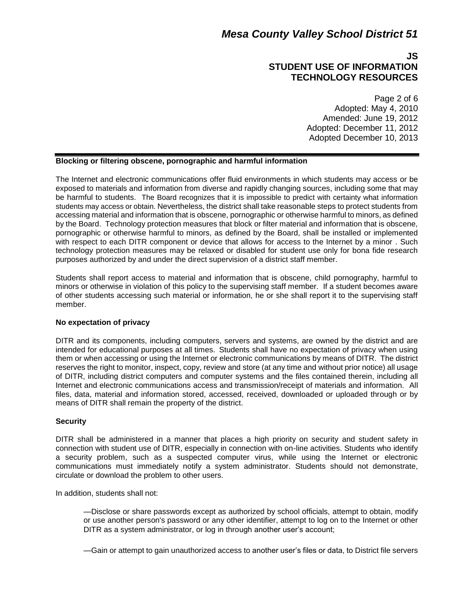## **JS STUDENT USE OF INFORMATION TECHNOLOGY RESOURCES**

Page 2 of 6 Adopted: May 4, 2010 Amended: June 19, 2012 Adopted: December 11, 2012 Adopted December 10, 2013

### **Blocking or filtering obscene, pornographic and harmful information**

The Internet and electronic communications offer fluid environments in which students may access or be exposed to materials and information from diverse and rapidly changing sources, including some that may be harmful to students. The Board recognizes that it is impossible to predict with certainty what information students may access or obtain. Nevertheless, the district shall take reasonable steps to protect students from accessing material and information that is obscene, pornographic or otherwise harmful to minors, as defined by the Board. Technology protection measures that block or filter material and information that is obscene, pornographic or otherwise harmful to minors, as defined by the Board, shall be installed or implemented with respect to each DITR component or device that allows for access to the Internet by a minor . Such technology protection measures may be relaxed or disabled for student use only for bona fide research purposes authorized by and under the direct supervision of a district staff member.

Students shall report access to material and information that is obscene, child pornography, harmful to minors or otherwise in violation of this policy to the supervising staff member. If a student becomes aware of other students accessing such material or information, he or she shall report it to the supervising staff member.

### **No expectation of privacy**

DITR and its components, including computers, servers and systems, are owned by the district and are intended for educational purposes at all times. Students shall have no expectation of privacy when using them or when accessing or using the Internet or electronic communications by means of DITR. The district reserves the right to monitor, inspect, copy, review and store (at any time and without prior notice) all usage of DITR, including district computers and computer systems and the files contained therein, including all Internet and electronic communications access and transmission/receipt of materials and information. All files, data, material and information stored, accessed, received, downloaded or uploaded through or by means of DITR shall remain the property of the district.

### **Security**

DITR shall be administered in a manner that places a high priority on security and student safety in connection with student use of DITR, especially in connection with on-line activities. Students who identify a security problem, such as a suspected computer virus, while using the Internet or electronic communications must immediately notify a system administrator. Students should not demonstrate, circulate or download the problem to other users.

In addition, students shall not:

—Disclose or share passwords except as authorized by school officials, attempt to obtain, modify or use another person's password or any other identifier, attempt to log on to the Internet or other DITR as a system administrator, or log in through another user's account;

—Gain or attempt to gain unauthorized access to another user's files or data, to District file servers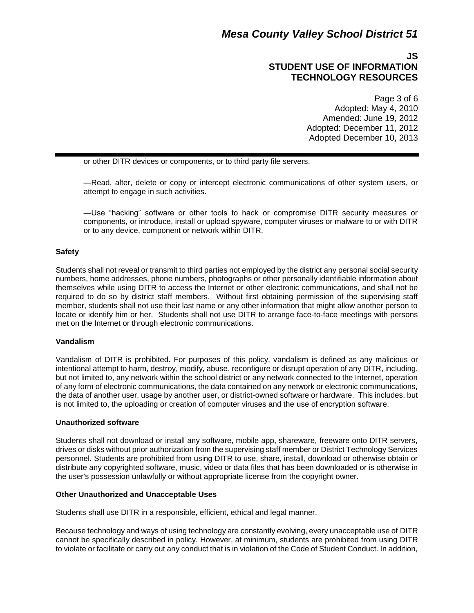## **JS STUDENT USE OF INFORMATION TECHNOLOGY RESOURCES**

Page 3 of 6 Adopted: May 4, 2010 Amended: June 19, 2012 Adopted: December 11, 2012 Adopted December 10, 2013

or other DITR devices or components, or to third party file servers.

—Read, alter, delete or copy or intercept electronic communications of other system users, or attempt to engage in such activities.

—Use "hacking" software or other tools to hack or compromise DITR security measures or components, or introduce, install or upload spyware, computer viruses or malware to or with DITR or to any device, component or network within DITR.

### **Safety**

Students shall not reveal or transmit to third parties not employed by the district any personal social security numbers, home addresses, phone numbers, photographs or other personally identifiable information about themselves while using DITR to access the Internet or other electronic communications, and shall not be required to do so by district staff members. Without first obtaining permission of the supervising staff member, students shall not use their last name or any other information that might allow another person to locate or identify him or her. Students shall not use DITR to arrange face-to-face meetings with persons met on the Internet or through electronic communications.

### **Vandalism**

Vandalism of DITR is prohibited. For purposes of this policy, vandalism is defined as any malicious or intentional attempt to harm, destroy, modify, abuse, reconfigure or disrupt operation of any DITR, including, but not limited to, any network within the school district or any network connected to the Internet, operation of any form of electronic communications, the data contained on any network or electronic communications, the data of another user, usage by another user, or district-owned software or hardware. This includes, but is not limited to, the uploading or creation of computer viruses and the use of encryption software.

### **Unauthorized software**

Students shall not download or install any software, mobile app, shareware, freeware onto DITR servers, drives or disks without prior authorization from the supervising staff member or District Technology Services personnel. Students are prohibited from using DITR to use, share, install, download or otherwise obtain or distribute any copyrighted software, music, video or data files that has been downloaded or is otherwise in the user's possession unlawfully or without appropriate license from the copyright owner.

### **Other Unauthorized and Unacceptable Uses**

Students shall use DITR in a responsible, efficient, ethical and legal manner.

Because technology and ways of using technology are constantly evolving, every unacceptable use of DITR cannot be specifically described in policy. However, at minimum, students are prohibited from using DITR to violate or facilitate or carry out any conduct that is in violation of the Code of Student Conduct. In addition,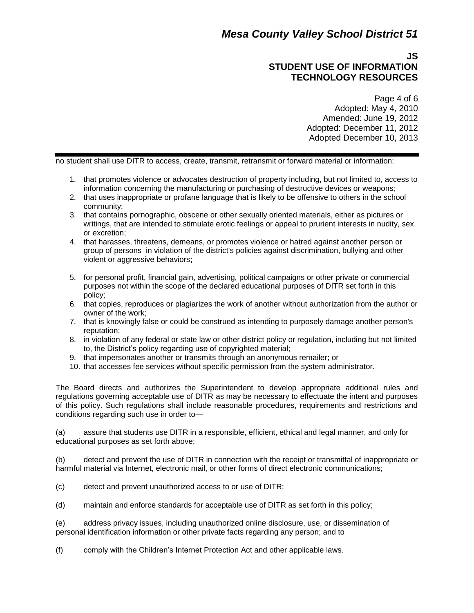## **JS STUDENT USE OF INFORMATION TECHNOLOGY RESOURCES**

Page 4 of 6 Adopted: May 4, 2010 Amended: June 19, 2012 Adopted: December 11, 2012 Adopted December 10, 2013

no student shall use DITR to access, create, transmit, retransmit or forward material or information:

- 1. that promotes violence or advocates destruction of property including, but not limited to, access to information concerning the manufacturing or purchasing of destructive devices or weapons;
- 2. that uses inappropriate or profane language that is likely to be offensive to others in the school community;
- 3. that contains pornographic, obscene or other sexually oriented materials, either as pictures or writings, that are intended to stimulate erotic feelings or appeal to prurient interests in nudity, sex or excretion;
- 4. that harasses, threatens, demeans, or promotes violence or hatred against another person or group of persons in violation of the district's policies against discrimination, bullying and other violent or aggressive behaviors;
- 5. for personal profit, financial gain, advertising, political campaigns or other private or commercial purposes not within the scope of the declared educational purposes of DITR set forth in this policy;
- 6. that copies, reproduces or plagiarizes the work of another without authorization from the author or owner of the work;
- 7. that is knowingly false or could be construed as intending to purposely damage another person's reputation;
- 8. in violation of any federal or state law or other district policy or regulation, including but not limited to, the District's policy regarding use of copyrighted material;
- 9. that impersonates another or transmits through an anonymous remailer; or
- 10. that accesses fee services without specific permission from the system administrator.

The Board directs and authorizes the Superintendent to develop appropriate additional rules and regulations governing acceptable use of DITR as may be necessary to effectuate the intent and purposes of this policy. Such regulations shall include reasonable procedures, requirements and restrictions and conditions regarding such use in order to—

(a) assure that students use DITR in a responsible, efficient, ethical and legal manner, and only for educational purposes as set forth above;

(b) detect and prevent the use of DITR in connection with the receipt or transmittal of inappropriate or harmful material via Internet, electronic mail, or other forms of direct electronic communications;

- (c) detect and prevent unauthorized access to or use of DITR;
- (d) maintain and enforce standards for acceptable use of DITR as set forth in this policy;

(e) address privacy issues, including unauthorized online disclosure, use, or dissemination of personal identification information or other private facts regarding any person; and to

(f) comply with the Children's Internet Protection Act and other applicable laws.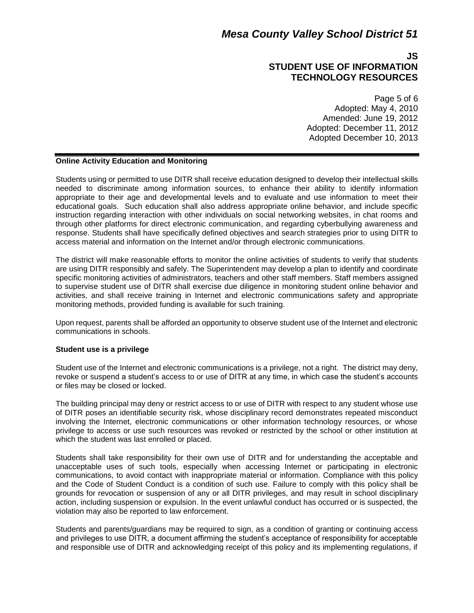### **JS STUDENT USE OF INFORMATION TECHNOLOGY RESOURCES**

Page 5 of 6 Adopted: May 4, 2010 Amended: June 19, 2012 Adopted: December 11, 2012 Adopted December 10, 2013

#### **Online Activity Education and Monitoring**

Students using or permitted to use DITR shall receive education designed to develop their intellectual skills needed to discriminate among information sources, to enhance their ability to identify information appropriate to their age and developmental levels and to evaluate and use information to meet their educational goals. Such education shall also address appropriate online behavior, and include specific instruction regarding interaction with other individuals on social networking websites, in chat rooms and through other platforms for direct electronic communication, and regarding cyberbullying awareness and response. Students shall have specifically defined objectives and search strategies prior to using DITR to access material and information on the Internet and/or through electronic communications.

The district will make reasonable efforts to monitor the online activities of students to verify that students are using DITR responsibly and safely. The Superintendent may develop a plan to identify and coordinate specific monitoring activities of administrators, teachers and other staff members. Staff members assigned to supervise student use of DITR shall exercise due diligence in monitoring student online behavior and activities, and shall receive training in Internet and electronic communications safety and appropriate monitoring methods, provided funding is available for such training.

Upon request, parents shall be afforded an opportunity to observe student use of the Internet and electronic communications in schools.

#### **Student use is a privilege**

Student use of the Internet and electronic communications is a privilege, not a right. The district may deny, revoke or suspend a student's access to or use of DITR at any time, in which case the student's accounts or files may be closed or locked.

The building principal may deny or restrict access to or use of DITR with respect to any student whose use of DITR poses an identifiable security risk, whose disciplinary record demonstrates repeated misconduct involving the Internet, electronic communications or other information technology resources, or whose privilege to access or use such resources was revoked or restricted by the school or other institution at which the student was last enrolled or placed.

Students shall take responsibility for their own use of DITR and for understanding the acceptable and unacceptable uses of such tools, especially when accessing Internet or participating in electronic communications, to avoid contact with inappropriate material or information. Compliance with this policy and the Code of Student Conduct is a condition of such use. Failure to comply with this policy shall be grounds for revocation or suspension of any or all DITR privileges, and may result in school disciplinary action, including suspension or expulsion. In the event unlawful conduct has occurred or is suspected, the violation may also be reported to law enforcement.

Students and parents/guardians may be required to sign, as a condition of granting or continuing access and privileges to use DITR, a document affirming the student's acceptance of responsibility for acceptable and responsible use of DITR and acknowledging receipt of this policy and its implementing regulations, if